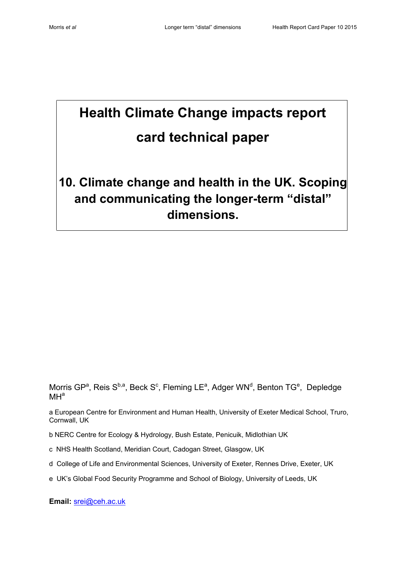# **Health Climate Change impacts report card technical paper**

# **10. Climate change and health in the UK. Scoping and communicating the longer-term "distal" dimensions.**

Morris GP<sup>a</sup>, Reis S<sup>b,a</sup>, Beck S<sup>c</sup>, Fleming LE<sup>a</sup>, Adger WN<sup>d</sup>, Benton TG<sup>e</sup>, Depledge  $MH<sup>a</sup>$ 

a European Centre for Environment and Human Health, University of Exeter Medical School, Truro, Cornwall, UK

b NERC Centre for Ecology & Hydrology, Bush Estate, Penicuik, Midlothian UK

- c NHS Health Scotland, Meridian Court, Cadogan Street, Glasgow, UK
- d College of Life and Environmental Sciences, University of Exeter, Rennes Drive, Exeter, UK
- e UK's Global Food Security Programme and School of Biology, University of Leeds, UK

**Email:** [srei@ceh.ac.uk](mailto:srei@ceh.ac.uk)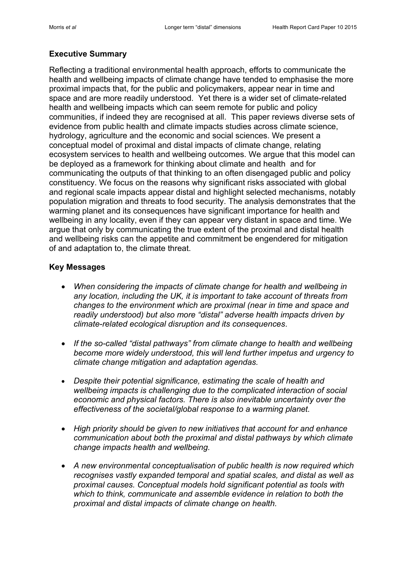# **Executive Summary**

Reflecting a traditional environmental health approach, efforts to communicate the health and wellbeing impacts of climate change have tended to emphasise the more proximal impacts that, for the public and policymakers, appear near in time and space and are more readily understood. Yet there is a wider set of climate-related health and wellbeing impacts which can seem remote for public and policy communities, if indeed they are recognised at all. This paper reviews diverse sets of evidence from public health and climate impacts studies across climate science, hydrology, agriculture and the economic and social sciences. We present a conceptual model of proximal and distal impacts of climate change, relating ecosystem services to health and wellbeing outcomes. We argue that this model can be deployed as a framework for thinking about climate and health and for communicating the outputs of that thinking to an often disengaged public and policy constituency. We focus on the reasons why significant risks associated with global and regional scale impacts appear distal and highlight selected mechanisms, notably population migration and threats to food security. The analysis demonstrates that the warming planet and its consequences have significant importance for health and wellbeing in any locality, even if they can appear very distant in space and time. We argue that only by communicating the true extent of the proximal and distal health and wellbeing risks can the appetite and commitment be engendered for mitigation of and adaptation to, the climate threat.

#### **Key Messages**

- *When considering the impacts of climate change for health and wellbeing in any location, including the UK, it is important to take account of threats from changes to the environment which are proximal (near in time and space and readily understood) but also more "distal" adverse health impacts driven by climate-related ecological disruption and its consequences*.
- *If the so-called "distal pathways" from climate change to health and wellbeing become more widely understood, this will lend further impetus and urgency to climate change mitigation and adaptation agendas.*
- *Despite their potential significance, estimating the scale of health and wellbeing impacts is challenging due to the complicated interaction of social economic and physical factors. There is also inevitable uncertainty over the effectiveness of the societal/global response to a warming planet.*
- *High priority should be given to new initiatives that account for and enhance communication about both the proximal and distal pathways by which climate change impacts health and wellbeing.*
- *A new environmental conceptualisation of public health is now required which recognises vastly expanded temporal and spatial scales, and distal as well as proximal causes. Conceptual models hold significant potential as tools with which to think, communicate and assemble evidence in relation to both the proximal and distal impacts of climate change on health.*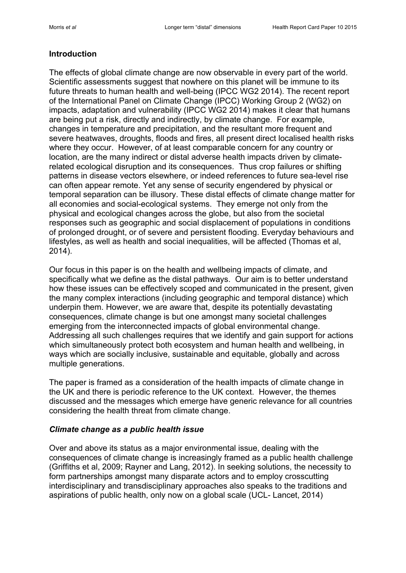#### **Introduction**

The effects of global climate change are now observable in every part of the world. Scientific assessments suggest that nowhere on this planet will be immune to its future threats to human health and well-being (IPCC WG2 2014). The recent report of the International Panel on Climate Change (IPCC) Working Group 2 (WG2) on impacts, adaptation and vulnerability (IPCC WG2 2014) makes it clear that humans are being put a risk, directly and indirectly, by climate change. For example, changes in temperature and precipitation, and the resultant more frequent and severe heatwaves, droughts, floods and fires, all present direct localised health risks where they occur. However, of at least comparable concern for any country or location, are the many indirect or distal adverse health impacts driven by climaterelated ecological disruption and its consequences. Thus crop failures or shifting patterns in disease vectors elsewhere, or indeed references to future sea-level rise can often appear remote. Yet any sense of security engendered by physical or temporal separation can be illusory. These distal effects of climate change matter for all economies and social-ecological systems. They emerge not only from the physical and ecological changes across the globe, but also from the societal responses such as geographic and social displacement of populations in conditions of prolonged drought, or of severe and persistent flooding. Everyday behaviours and lifestyles, as well as health and social inequalities, will be affected (Thomas et al, 2014).

Our focus in this paper is on the health and wellbeing impacts of climate, and specifically what we define as the distal pathways. Our aim is to better understand how these issues can be effectively scoped and communicated in the present, given the many complex interactions (including geographic and temporal distance) which underpin them. However, we are aware that, despite its potentially devastating consequences, climate change is but one amongst many societal challenges emerging from the interconnected impacts of global environmental change. Addressing all such challenges requires that we identify and gain support for actions which simultaneously protect both ecosystem and human health and wellbeing, in ways which are socially inclusive, sustainable and equitable, globally and across multiple generations.

The paper is framed as a consideration of the health impacts of climate change in the UK and there is periodic reference to the UK context. However, the themes discussed and the messages which emerge have generic relevance for all countries considering the health threat from climate change.

#### *Climate change as a public health issue*

Over and above its status as a major environmental issue, dealing with the consequences of climate change is increasingly framed as a public health challenge (Griffiths et al, 2009; Rayner and Lang, 2012). In seeking solutions, the necessity to form partnerships amongst many disparate actors and to employ crosscutting interdisciplinary and transdisciplinary approaches also speaks to the traditions and aspirations of public health, only now on a global scale (UCL- Lancet, 2014)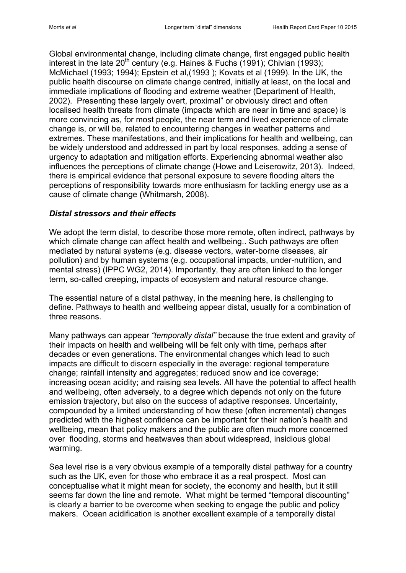Global environmental change, including climate change, first engaged public health interest in the late  $20^{th}$  century (e.g. Haines & Fuchs (1991); Chivian (1993); McMichael (1993; 1994); Epstein et al,(1993 ); Kovats et al (1999). In the UK, the public health discourse on climate change centred, initially at least, on the local and immediate implications of flooding and extreme weather (Department of Health, 2002). Presenting these largely overt, proximal" or obviously direct and often localised health threats from climate (impacts which are near in time and space) is more convincing as, for most people, the near term and lived experience of climate change is, or will be, related to encountering changes in weather patterns and extremes. These manifestations, and their implications for health and wellbeing, can be widely understood and addressed in part by local responses, adding a sense of urgency to adaptation and mitigation efforts. Experiencing abnormal weather also influences the perceptions of climate change (Howe and Leiserowitz, 2013). Indeed, there is empirical evidence that personal exposure to severe flooding alters the perceptions of responsibility towards more enthusiasm for tackling energy use as a cause of climate change (Whitmarsh, 2008).

#### *Distal stressors and their effects*

We adopt the term distal, to describe those more remote, often indirect, pathways by which climate change can affect health and wellbeing.. Such pathways are often mediated by natural systems (e.g. disease vectors, water-borne diseases, air pollution) and by human systems (e.g. occupational impacts, under-nutrition, and mental stress) (IPPC WG2, 2014). Importantly, they are often linked to the longer term, so-called creeping, impacts of ecosystem and natural resource change.

The essential nature of a distal pathway, in the meaning here, is challenging to define. Pathways to health and wellbeing appear distal, usually for a combination of three reasons.

Many pathways can appear *"temporally distal"* because the true extent and gravity of their impacts on health and wellbeing will be felt only with time, perhaps after decades or even generations. The environmental changes which lead to such impacts are difficult to discern especially in the average: regional temperature change; rainfall intensity and aggregates; reduced snow and ice coverage; increasing ocean acidity; and raising sea levels. All have the potential to affect health and wellbeing, often adversely, to a degree which depends not only on the future emission trajectory, but also on the success of adaptive responses. Uncertainty, compounded by a limited understanding of how these (often incremental) changes predicted with the highest confidence can be important for their nation's health and wellbeing, mean that policy makers and the public are often much more concerned over flooding, storms and heatwaves than about widespread, insidious global warming.

Sea level rise is a very obvious example of a temporally distal pathway for a country such as the UK, even for those who embrace it as a real prospect. Most can conceptualise what it might mean for society, the economy and health, but it still seems far down the line and remote. What might be termed "temporal discounting" is clearly a barrier to be overcome when seeking to engage the public and policy makers. Ocean acidification is another excellent example of a temporally distal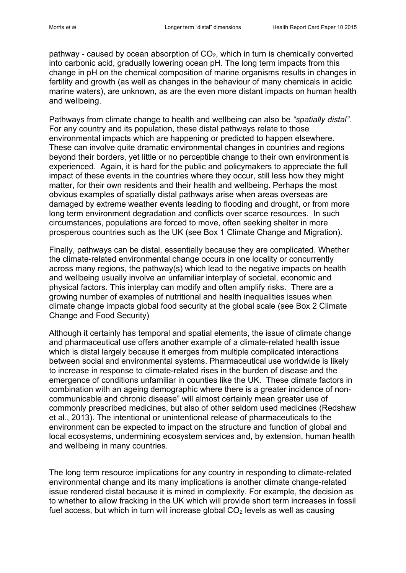pathway - caused by ocean absorption of  $CO<sub>2</sub>$ , which in turn is chemically converted into carbonic acid, gradually lowering ocean pH. The long term impacts from this change in pH on the chemical composition of marine organisms results in changes in fertility and growth (as well as changes in the behaviour of many chemicals in acidic marine waters), are unknown, as are the even more distant impacts on human health and wellbeing.

Pathways from climate change to health and wellbeing can also be *"spatially distal".* For any country and its population, these distal pathways relate to those environmental impacts which are happening or predicted to happen elsewhere. These can involve quite dramatic environmental changes in countries and regions beyond their borders, yet little or no perceptible change to their own environment is experienced. Again, it is hard for the public and policymakers to appreciate the full impact of these events in the countries where they occur, still less how they might matter, for their own residents and their health and wellbeing. Perhaps the most obvious examples of spatially distal pathways arise when areas overseas are damaged by extreme weather events leading to flooding and drought, or from more long term environment degradation and conflicts over scarce resources. In such circumstances, populations are forced to move, often seeking shelter in more prosperous countries such as the UK (see Box 1 Climate Change and Migration).

Finally, pathways can be distal, essentially because they are complicated. Whether the climate-related environmental change occurs in one locality or concurrently across many regions, the pathway(s) which lead to the negative impacts on health and wellbeing usually involve an unfamiliar interplay of societal, economic and physical factors. This interplay can modify and often amplify risks. There are a growing number of examples of nutritional and health inequalities issues when climate change impacts global food security at the global scale (see Box 2 Climate Change and Food Security)

Although it certainly has temporal and spatial elements, the issue of climate change and pharmaceutical use offers another example of a climate-related health issue which is distal largely because it emerges from multiple complicated interactions between social and environmental systems. Pharmaceutical use worldwide is likely to increase in response to climate-related rises in the burden of disease and the emergence of conditions unfamiliar in counties like the UK. These climate factors in combination with an ageing demographic where there is a greater incidence of noncommunicable and chronic disease" will almost certainly mean greater use of commonly prescribed medicines, but also of other seldom used medicines (Redshaw et al., 2013). The intentional or unintentional release of pharmaceuticals to the environment can be expected to impact on the structure and function of global and local ecosystems, undermining ecosystem services and, by extension, human health and wellbeing in many countries.

The long term resource implications for any country in responding to climate-related environmental change and its many implications is another climate change-related issue rendered distal because it is mired in complexity. For example, the decision as to whether to allow fracking in the UK which will provide short term increases in fossil fuel access, but which in turn will increase global  $CO<sub>2</sub>$  levels as well as causing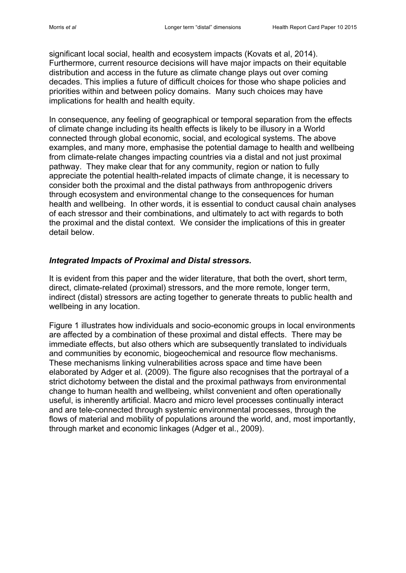significant local social, health and ecosystem impacts (Kovats et al, 2014). Furthermore, current resource decisions will have major impacts on their equitable distribution and access in the future as climate change plays out over coming decades. This implies a future of difficult choices for those who shape policies and priorities within and between policy domains. Many such choices may have implications for health and health equity.

In consequence, any feeling of geographical or temporal separation from the effects of climate change including its health effects is likely to be illusory in a World connected through global economic, social, and ecological systems. The above examples, and many more, emphasise the potential damage to health and wellbeing from climate-relate changes impacting countries via a distal and not just proximal pathway. They make clear that for any community, region or nation to fully appreciate the potential health-related impacts of climate change, it is necessary to consider both the proximal and the distal pathways from anthropogenic drivers through ecosystem and environmental change to the consequences for human health and wellbeing. In other words, it is essential to conduct causal chain analyses of each stressor and their combinations, and ultimately to act with regards to both the proximal and the distal context. We consider the implications of this in greater detail below.

#### *Integrated Impacts of Proximal and Distal stressors.*

It is evident from this paper and the wider literature, that both the overt, short term, direct, climate-related (proximal) stressors, and the more remote, longer term, indirect (distal) stressors are acting together to generate threats to public health and wellbeing in any location.

Figure 1 illustrates how individuals and socio-economic groups in local environments are affected by a combination of these proximal and distal effects. There may be immediate effects, but also others which are subsequently translated to individuals and communities by economic, biogeochemical and resource flow mechanisms. These mechanisms linking vulnerabilities across space and time have been elaborated by Adger et al. (2009). The figure also recognises that the portrayal of a strict dichotomy between the distal and the proximal pathways from environmental change to human health and wellbeing, whilst convenient and often operationally useful, is inherently artificial. Macro and micro level processes continually interact and are tele-connected through systemic environmental processes, through the flows of material and mobility of populations around the world, and, most importantly, through market and economic linkages (Adger et al., 2009).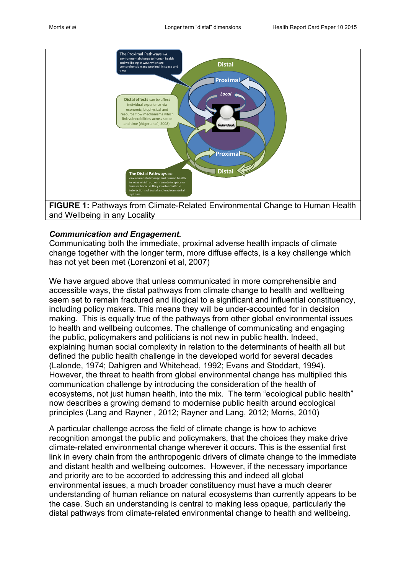

# *Communication and Engagement.*

Communicating both the immediate, proximal adverse health impacts of climate change together with the longer term, more diffuse effects, is a key challenge which has not yet been met (Lorenzoni et al, 2007)

We have argued above that unless communicated in more comprehensible and accessible ways, the distal pathways from climate change to health and wellbeing seem set to remain fractured and illogical to a significant and influential constituency, including policy makers. This means they will be under-accounted for in decision making. This is equally true of the pathways from other global environmental issues to health and wellbeing outcomes. The challenge of communicating and engaging the public, policymakers and politicians is not new in public health. Indeed, explaining human social complexity in relation to the determinants of health all but defined the public health challenge in the developed world for several decades (Lalonde, 1974; Dahlgren and Whitehead, 1992; Evans and Stoddart, 1994). However, the threat to health from global environmental change has multiplied this communication challenge by introducing the consideration of the health of ecosystems, not just human health, into the mix. The term "ecological public health" now describes a growing demand to modernise public health around ecological principles (Lang and Rayner , 2012; Rayner and Lang, 2012; Morris, 2010)

A particular challenge across the field of climate change is how to achieve recognition amongst the public and policymakers, that the choices they make drive climate-related environmental change wherever it occurs. This is the essential first link in every chain from the anthropogenic drivers of climate change to the immediate and distant health and wellbeing outcomes. However, if the necessary importance and priority are to be accorded to addressing this and indeed all global environmental issues, a much broader constituency must have a much clearer understanding of human reliance on natural ecosystems than currently appears to be the case. Such an understanding is central to making less opaque, particularly the distal pathways from climate-related environmental change to health and wellbeing.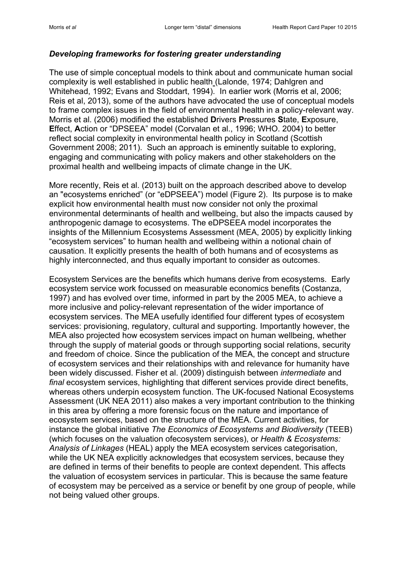#### *Developing frameworks for fostering greater understanding*

The use of simple conceptual models to think about and communicate human social complexity is well established in public health (Lalonde, 1974; Dahlgren and Whitehead, 1992; Evans and Stoddart, 1994). In earlier work (Morris et al, 2006; Reis et al, 2013), some of the authors have advocated the use of conceptual models to frame complex issues in the field of environmental health in a policy-relevant way. Morris et al. (2006) modified the established **D**rivers **P**ressures **S**tate, **E**xposure, **E**ffect, **A**ction or "DPSEEA" model (Corvalan et al., 1996; WHO. 2004) to better reflect social complexity in environmental health policy in Scotland (Scottish Government 2008; 2011). Such an approach is eminently suitable to exploring, engaging and communicating with policy makers and other stakeholders on the proximal health and wellbeing impacts of climate change in the UK.

More recently, Reis et al. (2013) built on the approach described above to develop an "ecosystems enriched" (or "eDPSEEA") model (Figure 2). Its purpose is to make explicit how environmental health must now consider not only the proximal environmental determinants of health and wellbeing, but also the impacts caused by anthropogenic damage to ecosystems. The eDPSEEA model incorporates the insights of the Millennium Ecosystems Assessment (MEA, 2005) by explicitly linking "ecosystem services" to human health and wellbeing within a notional chain of causation. It explicitly presents the health of both humans and of ecosystems as highly interconnected, and thus equally important to consider as outcomes.

Ecosystem Services are the benefits which humans derive from ecosystems. Early ecosystem service work focussed on measurable economics benefits (Costanza, 1997) and has evolved over time, informed in part by the 2005 MEA, to achieve a more inclusive and policy-relevant representation of the wider importance of ecosystem services. The MEA usefully identified four different types of ecosystem services: provisioning, regulatory, cultural and supporting. Importantly however, the MEA also projected how ecosystem services impact on human wellbeing, whether through the supply of material goods or through supporting social relations, security and freedom of choice. Since the publication of the MEA, the concept and structure of ecosystem services and their relationships with and relevance for humanity have been widely discussed. Fisher et al. (2009) distinguish between *intermediate* and *final* ecosystem services, highlighting that different services provide direct benefits, whereas others underpin ecosystem function. The UK-focused National Ecosystems Assessment (UK NEA 2011) also makes a very important contribution to the thinking in this area by offering a more forensic focus on the nature and importance of ecosystem services, based on the structure of the MEA. Current activities, for instance the global initiative *The Economics of Ecosystems and Biodiversity* (TEEB) (which focuses on the valuation ofecosystem services), or *Health & Ecosystems: Analysis of Linkages* (HEAL) apply the MEA ecosystem services categorisation, while the UK NEA explicitly acknowledges that ecosystem services, because they are defined in terms of their benefits to people are context dependent. This affects the valuation of ecosystem services in particular. This is because the same feature of ecosystem may be perceived as a service or benefit by one group of people, while not being valued other groups.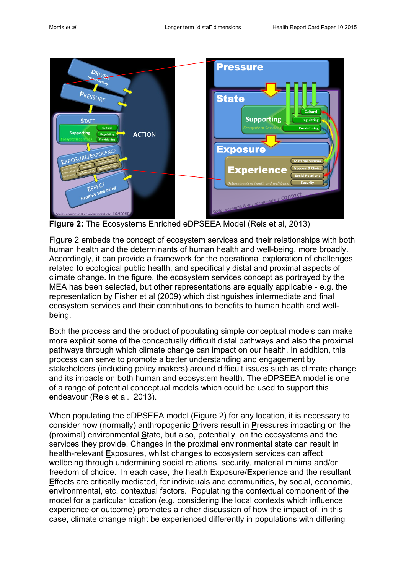

**Figure 2:** The Ecosystems Enriched eDPSEEA Model (Reis et al, 2013)

Figure 2 embeds the concept of ecosystem services and their relationships with both human health and the determinants of human health and well-being, more broadly. Accordingly, it can provide a framework for the operational exploration of challenges related to ecological public health, and specifically distal and proximal aspects of climate change. In the figure, the ecosystem services concept as portrayed by the MEA has been selected, but other representations are equally applicable - e.g. the representation by Fisher et al (2009) which distinguishes intermediate and final ecosystem services and their contributions to benefits to human health and wellbeing.

Both the process and the product of populating simple conceptual models can make more explicit some of the conceptually difficult distal pathways and also the proximal pathways through which climate change can impact on our health. In addition, this process can serve to promote a better understanding and engagement by stakeholders (including policy makers) around difficult issues such as climate change and its impacts on both human and ecosystem health. The eDPSEEA model is one of a range of potential conceptual models which could be used to support this endeavour (Reis et al. 2013).

When populating the eDPSEEA model (Figure 2) for any location, it is necessary to consider how (normally) anthropogenic **D**rivers result in **P**ressures impacting on the (proximal) environmental **S**tate, but also, potentially, on the ecosystems and the services they provide. Changes in the proximal environmental state can result in health-relevant **E**xposures, whilst changes to ecosystem services can affect wellbeing through undermining social relations, security, material minima and/or freedom of choice. In each case, the health Exposure/**E**xperience and the resultant **E**ffects are critically mediated, for individuals and communities, by social, economic, environmental, etc. contextual factors. Populating the contextual component of the model for a particular location (e.g. considering the local contexts which influence experience or outcome) promotes a richer discussion of how the impact of, in this case, climate change might be experienced differently in populations with differing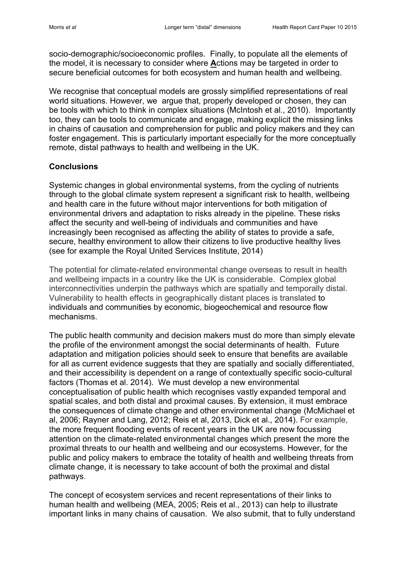socio-demographic/socioeconomic profiles. Finally, to populate all the elements of the model, it is necessary to consider where **A**ctions may be targeted in order to secure beneficial outcomes for both ecosystem and human health and wellbeing.

We recognise that conceptual models are grossly simplified representations of real world situations. However, we argue that, properly developed or chosen, they can be tools with which to think in complex situations (McIntosh et al., 2010). Importantly too, they can be tools to communicate and engage, making explicit the missing links in chains of causation and comprehension for public and policy makers and they can foster engagement. This is particularly important especially for the more conceptually remote, distal pathways to health and wellbeing in the UK.

#### **Conclusions**

Systemic changes in global environmental systems, from the cycling of nutrients through to the global climate system represent a significant risk to health, wellbeing and health care in the future without major interventions for both mitigation of environmental drivers and adaptation to risks already in the pipeline. These risks affect the security and well-being of individuals and communities and have increasingly been recognised as affecting the ability of states to provide a safe, secure, healthy environment to allow their citizens to live productive healthy lives (see for example the Royal United Services Institute, 2014)

The potential for climate-related environmental change overseas to result in health and wellbeing impacts in a country like the UK is considerable. Complex global interconnectivities underpin the pathways which are spatially and temporally distal. Vulnerability to health effects in geographically distant places is translated to individuals and communities by economic, biogeochemical and resource flow mechanisms.

The public health community and decision makers must do more than simply elevate the profile of the environment amongst the social determinants of health. Future adaptation and mitigation policies should seek to ensure that benefits are available for all as current evidence suggests that they are spatially and socially differentiated, and their accessibility is dependent on a range of contextually specific socio-cultural factors (Thomas et al. 2014). We must develop a new environmental conceptualisation of public health which recognises vastly expanded temporal and spatial scales, and both distal and proximal causes. By extension, it must embrace the consequences of climate change and other environmental change (McMichael et al, 2006; Rayner and Lang, 2012; Reis et al, 2013, Dick et al., 2014). For example, the more frequent flooding events of recent years in the UK are now focussing attention on the climate-related environmental changes which present the more the proximal threats to our health and wellbeing and our ecosystems. However, for the public and policy makers to embrace the totality of health and wellbeing threats from climate change, it is necessary to take account of both the proximal and distal pathways.

The concept of ecosystem services and recent representations of their links to human health and wellbeing (MEA, 2005; Reis et al., 2013) can help to illustrate important links in many chains of causation. We also submit, that to fully understand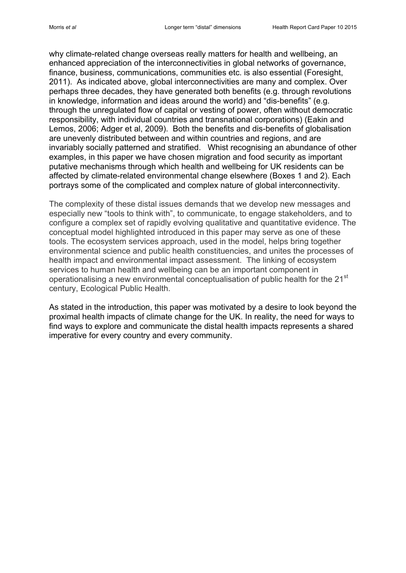why climate-related change overseas really matters for health and wellbeing, an enhanced appreciation of the interconnectivities in global networks of governance, finance, business, communications, communities etc. is also essential (Foresight, 2011). As indicated above, global interconnectivities are many and complex. Over perhaps three decades, they have generated both benefits (e.g. through revolutions in knowledge, information and ideas around the world) and "dis-benefits" (e.g. through the unregulated flow of capital or vesting of power, often without democratic responsibility, with individual countries and transnational corporations) (Eakin and Lemos, 2006; Adger et al, 2009). Both the benefits and dis-benefits of globalisation are unevenly distributed between and within countries and regions, and are invariably socially patterned and stratified. Whist recognising an abundance of other examples, in this paper we have chosen migration and food security as important putative mechanisms through which health and wellbeing for UK residents can be affected by climate-related environmental change elsewhere (Boxes 1 and 2). Each portrays some of the complicated and complex nature of global interconnectivity.

The complexity of these distal issues demands that we develop new messages and especially new "tools to think with", to communicate, to engage stakeholders, and to configure a complex set of rapidly evolving qualitative and quantitative evidence. The conceptual model highlighted introduced in this paper may serve as one of these tools. The ecosystem services approach, used in the model, helps bring together environmental science and public health constituencies, and unites the processes of health impact and environmental impact assessment. The linking of ecosystem services to human health and wellbeing can be an important component in operationalising a new environmental conceptualisation of public health for the 21<sup>st</sup> century, Ecological Public Health.

As stated in the introduction, this paper was motivated by a desire to look beyond the proximal health impacts of climate change for the UK. In reality, the need for ways to find ways to explore and communicate the distal health impacts represents a shared imperative for every country and every community.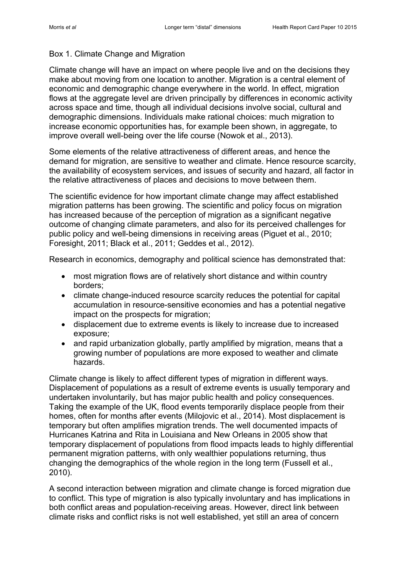# Box 1. Climate Change and Migration

Climate change will have an impact on where people live and on the decisions they make about moving from one location to another. Migration is a central element of economic and demographic change everywhere in the world. In effect, migration flows at the aggregate level are driven principally by differences in economic activity across space and time, though all individual decisions involve social, cultural and demographic dimensions. Individuals make rational choices: much migration to increase economic opportunities has, for example been shown, in aggregate, to improve overall well-being over the life course (Nowok et al., 2013).

Some elements of the relative attractiveness of different areas, and hence the demand for migration, are sensitive to weather and climate. Hence resource scarcity, the availability of ecosystem services, and issues of security and hazard, all factor in the relative attractiveness of places and decisions to move between them.

The scientific evidence for how important climate change may affect established migration patterns has been growing. The scientific and policy focus on migration has increased because of the perception of migration as a significant negative outcome of changing climate parameters, and also for its perceived challenges for public policy and well-being dimensions in receiving areas (Piguet et al., 2010; Foresight, 2011; Black et al., 2011; Geddes et al., 2012).

Research in economics, demography and political science has demonstrated that:

- most migration flows are of relatively short distance and within country borders;
- climate change-induced resource scarcity reduces the potential for capital accumulation in resource-sensitive economies and has a potential negative impact on the prospects for migration;
- displacement due to extreme events is likely to increase due to increased exposure;
- and rapid urbanization globally, partly amplified by migration, means that a growing number of populations are more exposed to weather and climate hazards.

Climate change is likely to affect different types of migration in different ways. Displacement of populations as a result of extreme events is usually temporary and undertaken involuntarily, but has major public health and policy consequences. Taking the example of the UK, flood events temporarily displace people from their homes, often for months after events (Milojovic et al., 2014). Most displacement is temporary but often amplifies migration trends. The well documented impacts of Hurricanes Katrina and Rita in Louisiana and New Orleans in 2005 show that temporary displacement of populations from flood impacts leads to highly differential permanent migration patterns, with only wealthier populations returning, thus changing the demographics of the whole region in the long term (Fussell et al., 2010).

A second interaction between migration and climate change is forced migration due to conflict. This type of migration is also typically involuntary and has implications in both conflict areas and population-receiving areas. However, direct link between climate risks and conflict risks is not well established, yet still an area of concern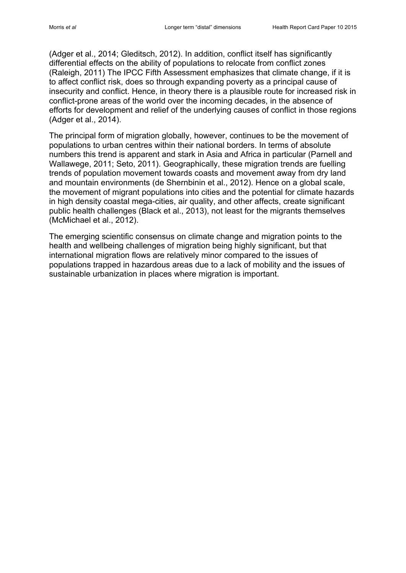(Adger et al., 2014; Gleditsch, 2012). In addition, conflict itself has significantly differential effects on the ability of populations to relocate from conflict zones (Raleigh, 2011) The IPCC Fifth Assessment emphasizes that climate change, if it is to affect conflict risk, does so through expanding poverty as a principal cause of insecurity and conflict. Hence, in theory there is a plausible route for increased risk in conflict-prone areas of the world over the incoming decades, in the absence of efforts for development and relief of the underlying causes of conflict in those regions (Adger et al., 2014).

The principal form of migration globally, however, continues to be the movement of populations to urban centres within their national borders. In terms of absolute numbers this trend is apparent and stark in Asia and Africa in particular (Parnell and Wallawege, 2011; Seto, 2011). Geographically, these migration trends are fuelling trends of population movement towards coasts and movement away from dry land and mountain environments (de Shernbinin et al., 2012). Hence on a global scale, the movement of migrant populations into cities and the potential for climate hazards in high density coastal mega-cities, air quality, and other affects, create significant public health challenges (Black et al., 2013), not least for the migrants themselves (McMichael et al., 2012).

The emerging scientific consensus on climate change and migration points to the health and wellbeing challenges of migration being highly significant, but that international migration flows are relatively minor compared to the issues of populations trapped in hazardous areas due to a lack of mobility and the issues of sustainable urbanization in places where migration is important.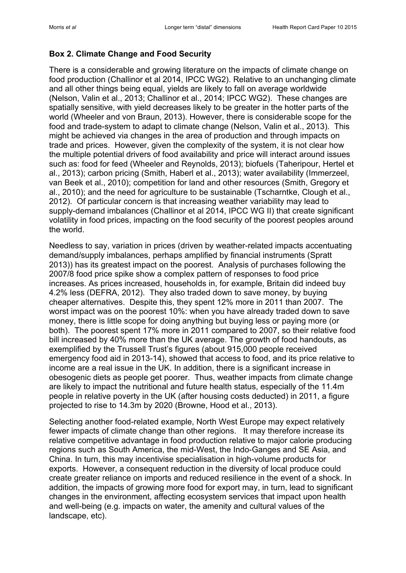# **Box 2. Climate Change and Food Security**

There is a considerable and growing literature on the impacts of climate change on food production (Challinor et al 2014, IPCC WG2). Relative to an unchanging climate and all other things being equal, yields are likely to fall on average worldwide (Nelson, Valin et al., 2013; Challinor et al., 2014; IPCC WG2). These changes are spatially sensitive, with yield decreases likely to be greater in the hotter parts of the world (Wheeler and von Braun, 2013). However, there is considerable scope for the food and trade-system to adapt to climate change (Nelson, Valin et al., 2013). This might be achieved via changes in the area of production and through impacts on trade and prices. However, given the complexity of the system, it is not clear how the multiple potential drivers of food availability and price will interact around issues such as: food for feed (Wheeler and Reynolds, 2013); biofuels (Taheripour, Hertel et al., 2013); carbon pricing (Smith, Haberl et al., 2013); water availability (Immerzeel, van Beek et al., 2010); competition for land and other resources (Smith, Gregory et al., 2010); and the need for agriculture to be sustainable (Tscharntke, Clough et al., 2012). Of particular concern is that increasing weather variability may lead to supply-demand imbalances (Challinor et al 2014, IPCC WG II) that create significant volatility in food prices, impacting on the food security of the poorest peoples around the world.

Needless to say, variation in prices (driven by weather-related impacts accentuating demand/supply imbalances, perhaps amplified by financial instruments (Spratt 2013)) has its greatest impact on the poorest. Analysis of purchases following the 2007/8 food price spike show a complex pattern of responses to food price increases. As prices increased, households in, for example, Britain did indeed buy 4.2% less (DEFRA, 2012). They also traded down to save money, by buying cheaper alternatives. Despite this, they spent 12% more in 2011 than 2007. The worst impact was on the poorest 10%: when you have already traded down to save money, there is little scope for doing anything but buying less or paying more (or both). The poorest spent 17% more in 2011 compared to 2007, so their relative food bill increased by 40% more than the UK average. The growth of food handouts, as exemplified by the Trussell Trust's figures (about 915,000 people received emergency food aid in 2013-14), showed that access to food, and its price relative to income are a real issue in the UK. In addition, there is a significant increase in obesogenic diets as people get poorer. Thus, weather impacts from climate change are likely to impact the nutritional and future health status, especially of the 11.4m people in relative poverty in the UK (after housing costs deducted) in 2011, a figure projected to rise to 14.3m by 2020 (Browne, Hood et al., 2013).

Selecting another food-related example, North West Europe may expect relatively fewer impacts of climate change than other regions. It may therefore increase its relative competitive advantage in food production relative to major calorie producing regions such as South America, the mid-West, the Indo-Ganges and SE Asia, and China. In turn, this may incentivise specialisation in high-volume products for exports. However, a consequent reduction in the diversity of local produce could create greater reliance on imports and reduced resilience in the event of a shock. In addition, the impacts of growing more food for export may, in turn, lead to significant changes in the environment, affecting ecosystem services that impact upon health and well-being (e.g. impacts on water, the amenity and cultural values of the landscape, etc).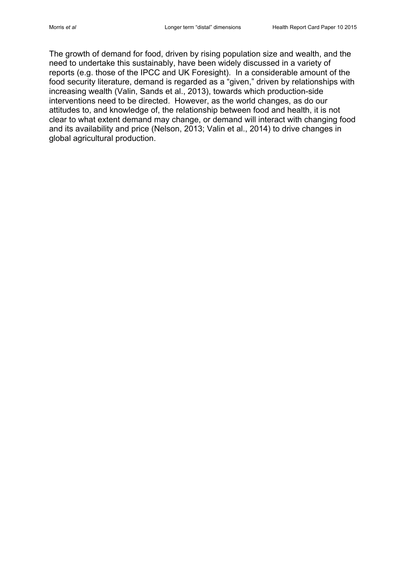The growth of demand for food, driven by rising population size and wealth, and the need to undertake this sustainably, have been widely discussed in a variety of reports (e.g. those of the IPCC and UK Foresight). In a considerable amount of the food security literature, demand is regarded as a "given," driven by relationships with increasing wealth (Valin, Sands et al., 2013), towards which production-side interventions need to be directed. However, as the world changes, as do our attitudes to, and knowledge of, the relationship between food and health, it is not clear to what extent demand may change, or demand will interact with changing food and its availability and price (Nelson, 2013; Valin et al., 2014) to drive changes in global agricultural production.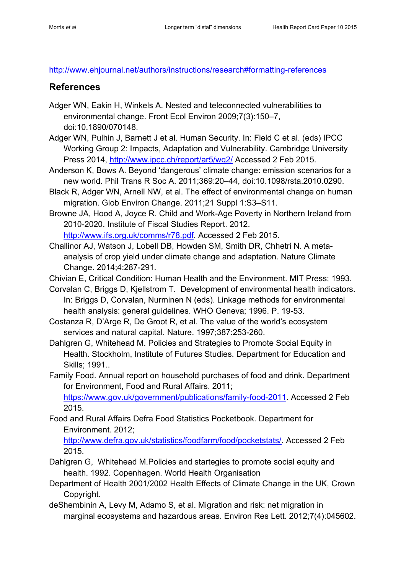<http://www.ehjournal.net/authors/instructions/research#formatting-references>

# **References**

- Adger WN, Eakin H, Winkels A. Nested and teleconnected vulnerabilities to environmental change. Front Ecol Environ 2009;7(3):150–7, doi:10.1890/070148.
- Adger WN, Pulhin J, Barnett J et al. Human Security. In: Field C et al. (eds) IPCC Working Group 2: Impacts, Adaptation and Vulnerability. Cambridge University Press 2014,<http://www.ipcc.ch/report/ar5/wg2/> Accessed 2 Feb 2015.
- Anderson K, Bows A. Beyond 'dangerous' climate change: emission scenarios for a new world. Phil Trans R Soc A. 2011;369:20–44, doi:10.1098/rsta.2010.0290.
- Black R, Adger WN, Arnell NW, et al. The effect of environmental change on human migration. Glob Environ Change. 2011;21 Suppl 1:S3–S11.
- Browne JA, Hood A, Joyce R. Child and Work-Age Poverty in Northern Ireland from 2010-2020. Institute of Fiscal Studies Report. 2012. [http://www.ifs.org.uk/comms/r78.pdf.](http://www.ifs.org.uk/comms/r78.pdf) Accessed 2 Feb 2015.
- Challinor AJ, Watson J, Lobell DB, Howden SM, Smith DR, Chhetri N. A metaanalysis of crop yield under climate change and adaptation. Nature Climate Change. 2014;4:287-291.

Chivian E, Critical Condition: Human Health and the Environment. MIT Press; 1993.

- Corvalan C, Briggs D, Kjellstrom T. Development of environmental health indicators. In: Briggs D, Corvalan, Nurminen N (eds). Linkage methods for environmental health analysis: general guidelines. WHO Geneva; 1996. P. 19-53.
- Costanza R, D'Arge R, De Groot R, et al. The value of the world's ecosystem services and natural capital. Nature. 1997;387:253-260.
- Dahlgren G, Whitehead M. Policies and Strategies to Promote Social Equity in Health. Stockholm, Institute of Futures Studies. Department for Education and Skills; 1991..

Family Food. Annual report on household purchases of food and drink. Department for Environment, Food and Rural Affairs. 2011; [https://www.gov.uk/government/publications/family-food-2011.](https://www.gov.uk/government/publications/family-food-2011) Accessed 2 Feb 2015.

Food and Rural Affairs Defra Food Statistics Pocketbook. Department for Environment. 2012;

[http://www.defra.gov.uk/statistics/foodfarm/food/pocketstats/.](http://www.defra.gov.uk/statistics/foodfarm/food/pocketstats/) Accessed 2 Feb 2015.

- Dahlgren G, Whitehead M.Policies and startegies to promote social equity and health. 1992. Copenhagen. World Health Organisation
- Department of Health 2001/2002 Health Effects of Climate Change in the UK, Crown Copyright.
- deShembinin A, Levy M, Adamo S, et al. Migration and risk: net migration in marginal ecosystems and hazardous areas. Environ Res Lett. 2012;7(4):045602.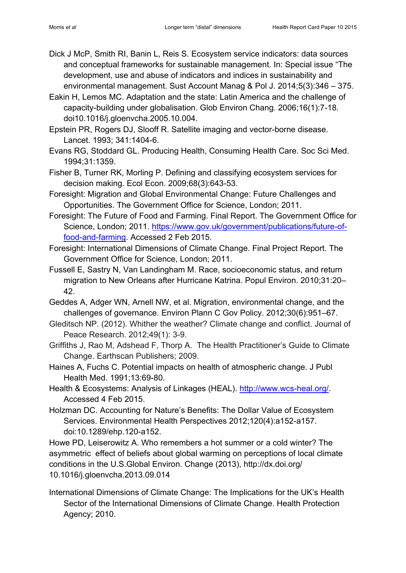- Dick J McP, Smith RI, Banin L, Reis S. Ecosystem service indicators: data sources and conceptual frameworks for sustainable management. In: Special issue "The development, use and abuse of indicators and indices in sustainability and environmental management. Sust Account Manag & Pol J. 2014;5(3):346 – 375.
- Eakin H, Lemos MC. Adaptation and the state: Latin America and the challenge of capacity-building under globalisation. Glob Environ Chang. 2006;16(1):7-18. doi10.1016/j.gloenvcha.2005.10.004.
- Epstein PR, Rogers DJ, Slooff R. Satellite imaging and vector-borne disease. Lancet. 1993; 341:1404-6.
- Evans RG, Stoddard GL. Producing Health, Consuming Health Care. Soc Sci Med. 1994;31:1359.
- Fisher B, Turner RK, Morling P. Defining and classifying ecosystem services for decision making. Ecol Econ. 2009;68(3):643-53.
- Foresight: Migration and Global Environmental Change: Future Challenges and Opportunities. The Government Office for Science, London; 2011.
- Foresight: The Future of Food and Farming. Final Report. The Government Office for Science, London; 2011. [https://www.gov.uk/government/publications/future-of](https://www.gov.uk/government/publications/future-of-food-and-farming)[food-and-farming.](https://www.gov.uk/government/publications/future-of-food-and-farming) Accessed 2 Feb 2015.
- Foresight: International Dimensions of Climate Change. Final Project Report. The Government Office for Science, London; 2011.
- Fussell E, Sastry N, Van Landingham M. Race, socioeconomic status, and return migration to New Orleans after Hurricane Katrina. Popul Environ. 2010;31:20– 42.
- Geddes A, Adger WN, Arnell NW, et al. Migration, environmental change, and the challenges of governance. Environ Plann C Gov Policy. 2012;30(6):951–67.
- Gleditsch NP. (2012). Whither the weather? Climate change and conflict. Journal of Peace Research. 2012;49(1): 3-9.
- Griffiths J, Rao M, Adshead F, Thorp A. The Health Practitioner's Guide to Climate Change. Earthscan Publishers; 2009.
- Haines A, Fuchs C. Potential impacts on health of atmospheric change. J Publ Health Med. 1991;13:69-80.
- Health & Ecosystems: Analysis of Linkages (HEAL). [http://www.wcs-heal.org/.](http://www.wcs-heal.org/) Accessed 4 Feb 2015.
- Holzman DC. Accounting for Nature's Benefits: The Dollar Value of Ecosystem Services. Environmental Health Perspectives 2012;120(4):a152-a157. doi:10.1289/ehp.120-a152.

Howe PD, Leiserowitz A. Who remembers a hot summer or a cold winter? The asymmetric effect of beliefs about global warming on perceptions of local climate conditions in the U.S.Global Environ. Change (2013), http://dx.doi.org/ 10.1016/j.gloenvcha.2013.09.014

International Dimensions of Climate Change: The Implications for the UK's Health Sector of the International Dimensions of Climate Change. Health Protection Agency; 2010.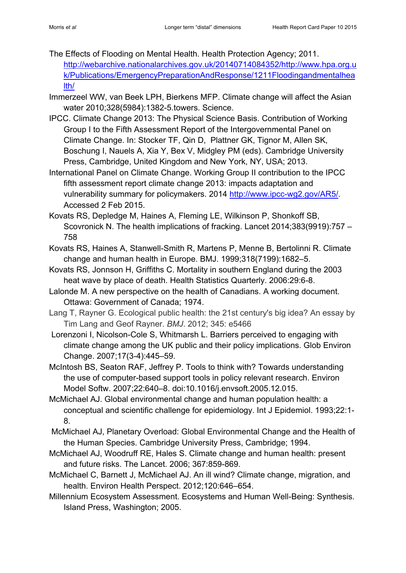- The Effects of Flooding on Mental Health. Health Protection Agency; 2011. [http://webarchive.nationalarchives.gov.uk/20140714084352/http://www.hpa.org.u](http://webarchive.nationalarchives.gov.uk/20140714084352/http:/www.hpa.org.uk/Publications/EmergencyPreparationAndResponse/1211Floodingandmentalhealth/) [k/Publications/EmergencyPreparationAndResponse/1211Floodingandmentalhea](http://webarchive.nationalarchives.gov.uk/20140714084352/http:/www.hpa.org.uk/Publications/EmergencyPreparationAndResponse/1211Floodingandmentalhealth/) [lth/](http://webarchive.nationalarchives.gov.uk/20140714084352/http:/www.hpa.org.uk/Publications/EmergencyPreparationAndResponse/1211Floodingandmentalhealth/)
- Immerzeel WW, van Beek LPH, Bierkens MFP. Climate change will affect the Asian water 2010;328(5984):1382-5.towers. Science.
- IPCC. Climate Change 2013: The Physical Science Basis. Contribution of Working Group I to the Fifth Assessment Report of the Intergovernmental Panel on Climate Change. In: Stocker TF, Qin D, Plattner GK, Tignor M, Allen SK, Boschung I, Nauels A, Xia Y, Bex V, Midgley PM (eds). Cambridge University Press, Cambridge, United Kingdom and New York, NY, USA; 2013.
- International Panel on Climate Change. Working Group II contribution to the IPCC fifth assessment report climate change 2013: impacts adaptation and vulnerability summary for policymakers. 2014 [http://www.ipcc-wg2.gov/AR5/.](http://www.ipcc-wg2.gov/AR5/) Accessed 2 Feb 2015.
- Kovats RS, Depledge M, Haines A, Fleming LE, Wilkinson P, Shonkoff SB, Scovronick N. The health implications of fracking. Lancet 2014;383(9919):757 – 758
- Kovats RS, Haines A, Stanwell-Smith R, Martens P, Menne B, Bertolinni R. Climate change and human health in Europe. BMJ. 1999;318(7199):1682–5.
- Kovats RS, Jonnson H, Griffiths C. Mortality in southern England during the 2003 heat wave by place of death. Health Statistics Quarterly. 2006:29:6-8.
- Lalonde M. A new perspective on the health of Canadians. A working document. Ottawa: Government of Canada; 1974.
- Lang T, Rayner G. Ecological public health: the 21st century's big idea? An essay by Tim Lang and Geof Rayner. *BMJ*. 2012; 345: e5466
- Lorenzoni I, Nicolson-Cole S, Whitmarsh L. Barriers perceived to engaging with climate change among the UK public and their policy implications. Glob Environ Change. 2007;17(3-4):445–59.
- McIntosh BS, Seaton RAF, Jeffrey P. Tools to think with? Towards understanding the use of computer-based support tools in policy relevant research. Environ Model Softw. 2007;22:640–8. doi:10.1016/j.envsoft.2005.12.015.
- McMichael AJ. Global environmental change and human population health: a conceptual and scientific challenge for epidemiology. Int J Epidemiol. 1993;22:1- 8.
- McMichael AJ, Planetary Overload: Global Environmental Change and the Health of the Human Species. Cambridge University Press, Cambridge; 1994.
- McMichael AJ, Woodruff RE, Hales S. Climate change and human health: present and future risks. The Lancet. 2006; 367:859-869.
- McMichael C, Barnett J, McMichael AJ. An ill wind? Climate change, migration, and health. Environ Health Perspect. 2012;120:646–654.
- Millennium Ecosystem Assessment. Ecosystems and Human Well-Being: Synthesis. Island Press, Washington; 2005.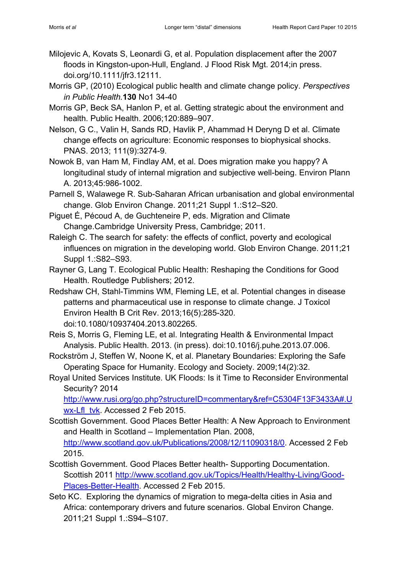- Milojevic A, Kovats S, Leonardi G, et al. Population displacement after the 2007 floods in Kingston-upon-Hull, England. J Flood Risk Mgt. 2014;in press. doi.org/10.1111/jfr3.12111.
- Morris GP, (2010) Ecological public health and climate change policy. *Perspectives in Public Health.***130** No1 34-40
- Morris GP, Beck SA, Hanlon P, et al. Getting strategic about the environment and health. Public Health. 2006;120:889–907.
- Nelson, G C., Valin H, Sands RD, Havlik P, Ahammad H Deryng D et al. Climate change effects on agriculture: Economic responses to biophysical shocks. PNAS. 2013; 111(9):3274-9.
- Nowok B, van Ham M, Findlay AM, et al. Does migration make you happy? A longitudinal study of internal migration and subjective well-being. Environ Plann A. 2013;45:986-1002.
- Parnell S, Walawege R. Sub-Saharan African urbanisation and global environmental change. Glob Environ Change. 2011;21 Suppl 1.:S12–S20.
- Piguet É, Pécoud A, de Guchteneire P, eds. Migration and Climate Change.Cambridge University Press, Cambridge; 2011.
- Raleigh C. The search for safety: the effects of conflict, poverty and ecological influences on migration in the developing world. Glob Environ Change. 2011;21 Suppl 1.:S82–S93.
- Rayner G, Lang T. Ecological Public Health: Reshaping the Conditions for Good Health. Routledge Publishers; 2012.
- Redshaw CH, Stahl-Timmins WM, Fleming LE, et al. Potential changes in disease patterns and pharmaceutical use in response to climate change. J Toxicol Environ Health B Crit Rev. 2013;16(5):285-320. doi:10.1080/10937404.2013.802265.
- Reis S, Morris G, Fleming LE, et al. Integrating Health & Environmental Impact Analysis. Public Health. 2013. (in press). doi:10.1016/j.puhe.2013.07.006.
- Rockström J, Steffen W, Noone K, et al. Planetary Boundaries: Exploring the Safe Operating Space for Humanity. Ecology and Society. 2009;14(2):32.
- Royal United Services Institute. UK Floods: Is it Time to Reconsider Environmental Security? 2014

[http://www.rusi.org/go.php?structureID=commentary&ref=C5304F13F3433A#.U](http://www.rusi.org/go.php?structureID=commentary&ref=C5304F13F3433A#.Uwx-Lfl_tvk) [wx-Lfl\\_tvk.](http://www.rusi.org/go.php?structureID=commentary&ref=C5304F13F3433A#.Uwx-Lfl_tvk) Accessed 2 Feb 2015.

- Scottish Government. Good Places Better Health: A New Approach to Environment and Health in Scotland – Implementation Plan. 2008, [http://www.scotland.gov.uk/Publications/2008/12/11090318/0.](http://www.scotland.gov.uk/Publications/2008/12/11090318/0) Accessed 2 Feb 2015.
- Scottish Government. Good Places Better health- Supporting Documentation. Scottish 2011 [http://www.scotland.gov.uk/Topics/Health/Healthy-Living/Good-](http://www.scotland.gov.uk/Topics/Health/Healthy-Living/Good-Places-Better-Health)[Places-Better-Health.](http://www.scotland.gov.uk/Topics/Health/Healthy-Living/Good-Places-Better-Health) Accessed 2 Feb 2015.
- Seto KC. Exploring the dynamics of migration to mega-delta cities in Asia and Africa: contemporary drivers and future scenarios. Global Environ Change. 2011;21 Suppl 1.:S94–S107.